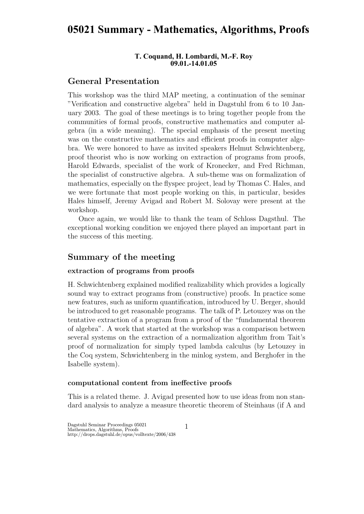# **05021 Summary - Mathematics, Algorithms, Proofs**

#### **T. Coquand, H. Lombardi, M.-F. Roy 09.01.-14.01.05**

# General Presentation

This workshop was the third MAP meeting, a continuation of the seminar "Verification and constructive algebra" held in Dagstuhl from 6 to 10 January 2003. The goal of these meetings is to bring together people from the communities of formal proofs, constructive mathematics and computer algebra (in a wide meaning). The special emphasis of the present meeting was on the constructive mathematics and efficient proofs in computer algebra. We were honored to have as invited speakers Helmut Schwichtenberg, proof theorist who is now working on extraction of programs from proofs, Harold Edwards, specialist of the work of Kronecker, and Fred Richman, the specialist of constructive algebra. A sub-theme was on formalization of mathematics, especially on the flyspec project, lead by Thomas C. Hales, and we were fortunate that most people working on this, in particular, besides Hales himself, Jeremy Avigad and Robert M. Solovay were present at the workshop.

Once again, we would like to thank the team of Schloss Dagsthul. The exceptional working condition we enjoyed there played an important part in the success of this meeting.

# Summary of the meeting

### extraction of programs from proofs

H. Schwichtenberg explained modified realizability which provides a logically sound way to extract programs from (constructive) proofs. In practice some new features, such as uniform quantification, introduced by U. Berger, should be introduced to get reasonable programs. The talk of P. Letouzey was on the tentative extraction of a program from a proof of the "fundamental theorem of algebra". A work that started at the workshop was a comparison between several systems on the extraction of a normalization algorithm from Tait's proof of normalization for simply typed lambda calculus (by Letouzey in the Coq system, Schwichtenberg in the minlog system, and Berghofer in the Isabelle system).

#### computational content from ineffective proofs

This is a related theme. J. Avigad presented how to use ideas from non standard analysis to analyze a measure theoretic theorem of Steinhaus (if A and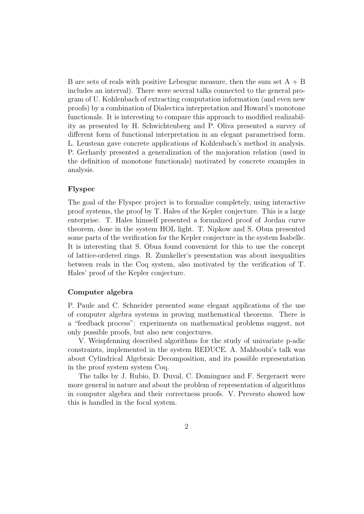B are sets of reals with positive Lebesgue measure, then the sum set  $A + B$ includes an interval). There were several talks connected to the general program of U. Kohlenbach of extracting computation information (and even new proofs) by a combination of Dialectica interpretation and Howard's monotone functionals. It is interesting to compare this approach to modified realizability as presented by H. Schwichtenberg and P. Oliva presented a survey of different form of functional interpretation in an elegant parametrised form. L. Leustean gave concrete applications of Kohlenbach's method in analysis. P. Gerhardy presented a generalization of the majoration relation (used in the definition of monotone functionals) motivated by concrete examples in analysis.

#### Flyspec

The goal of the Flyspec project is to formalize completely, using interactive proof systems, the proof by T. Hales of the Kepler conjecture. This is a large enterprise. T. Hales himself presented a formalized proof of Jordan curve theorem, done in the system HOL light. T. Nipkow and S. Obua presented some parts of the verification for the Kepler conjecture in the system Isabelle. It is interesting that S. Obua found convenient for this to use the concept of lattice-ordered rings. R. Zumkeller's presentation was about inequalities between reals in the Coq system, also motivated by the verification of T. Hales' proof of the Kepler conjecture.

## Computer algebra

P. Paule and C. Schneider presented some elegant applications of the use of computer algebra systems in proving mathematical theorems. There is a "feedback process": experiments on mathematical problems suggest, not only possible proofs, but also new conjectures.

V. Weispfenning described algorithms for the study of univariate p-adic constraints, implemented in the system REDUCE. A. Mahboubi's talk was about Cylindrical Algebraic Decomposition, and its possible representation in the proof system system Coq.

The talks by J. Rubio, D. Duval, C. Dominguez and F. Sergeraert were more general in nature and about the problem of representation of algorithms in computer algebra and their correctness proofs. V. Prevesto showed how this is handled in the focal system.